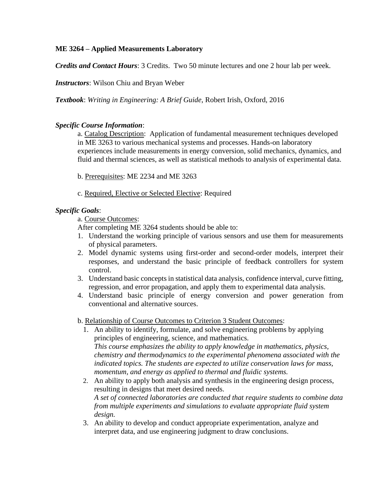## **ME 3264 – Applied Measurements Laboratory**

*Credits and Contact Hours*: 3 Credits. Two 50 minute lectures and one 2 hour lab per week.

*Instructors*: Wilson Chiu and Bryan Weber

*Textbook*: *Writing in Engineering: A Brief Guide*, Robert Irish, Oxford, 2016

## *Specific Course Information*:

a. Catalog Description: Application of fundamental measurement techniques developed in ME 3263 to various mechanical systems and processes. Hands-on laboratory experiences include measurements in energy conversion, solid mechanics, dynamics, and fluid and thermal sciences, as well as statistical methods to analysis of experimental data.

- b. Prerequisites: ME 2234 and ME 3263
- c. Required, Elective or Selected Elective: Required

## *Specific Goals*:

a. Course Outcomes:

After completing ME 3264 students should be able to:

- 1. Understand the working principle of various sensors and use them for measurements of physical parameters.
- 2. Model dynamic systems using first-order and second-order models, interpret their responses, and understand the basic principle of feedback controllers for system control.
- 3. Understand basic concepts in statistical data analysis, confidence interval, curve fitting, regression, and error propagation, and apply them to experimental data analysis.
- 4. Understand basic principle of energy conversion and power generation from conventional and alternative sources.
- b. Relationship of Course Outcomes to Criterion 3 Student Outcomes:
	- 1. An ability to identify, formulate, and solve engineering problems by applying principles of engineering, science, and mathematics. *This course emphasizes the ability to apply knowledge in mathematics, physics, chemistry and thermodynamics to the experimental phenomena associated with the indicated topics. The students are expected to utilize conservation laws for mass, momentum, and energy as applied to thermal and fluidic systems.*
	- 2. An ability to apply both analysis and synthesis in the engineering design process, resulting in designs that meet desired needs. *A set of connected laboratories are conducted that require students to combine data from multiple experiments and simulations to evaluate appropriate fluid system design.*
	- 3. An ability to develop and conduct appropriate experimentation, analyze and interpret data, and use engineering judgment to draw conclusions.